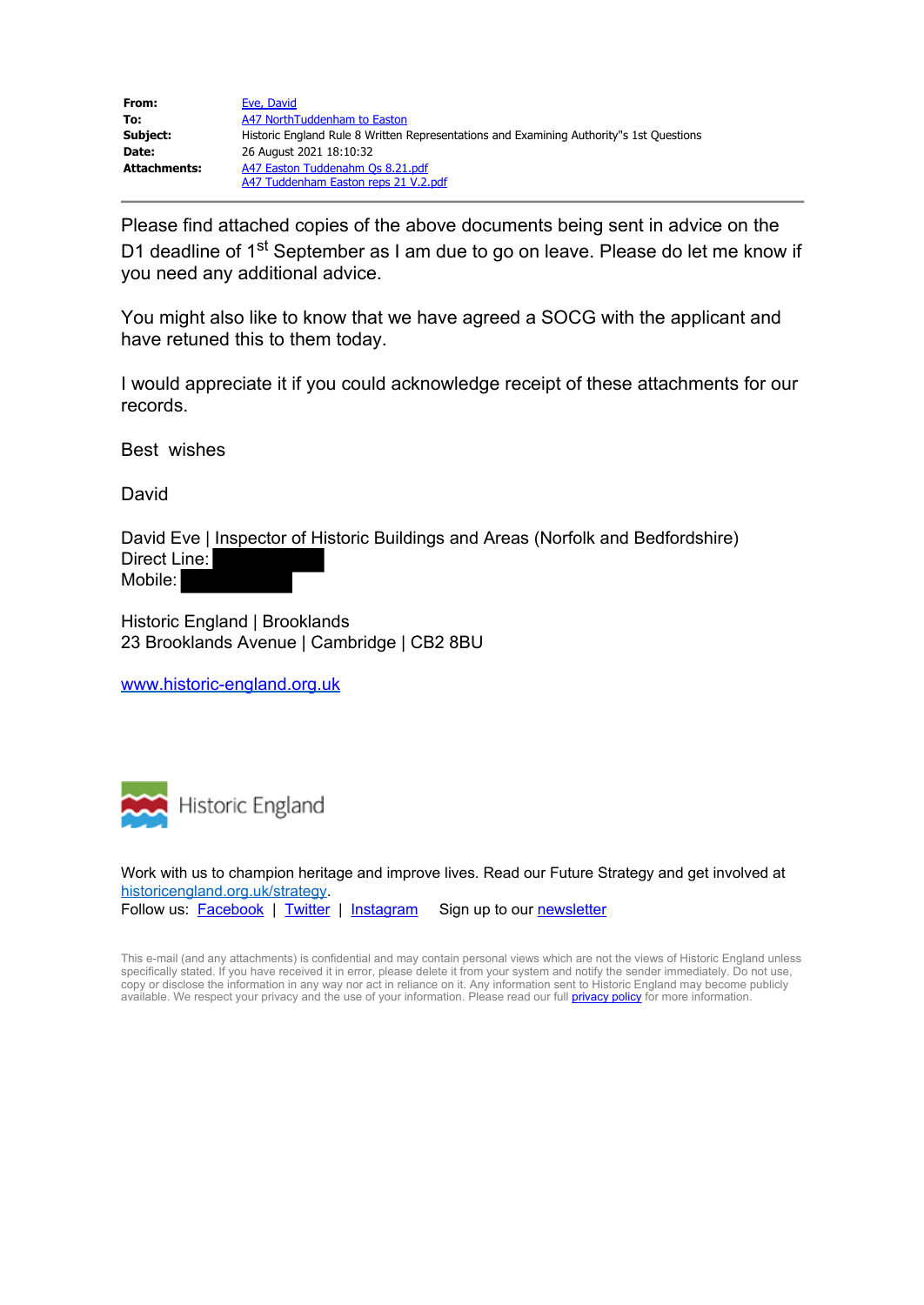| From:        | Eve, David                                                                              |
|--------------|-----------------------------------------------------------------------------------------|
| To:          | A47 NorthTuddenham to Easton                                                            |
| Subject:     | Historic England Rule 8 Written Representations and Examining Authority"s 1st Questions |
| Date:        | 26 August 2021 18:10:32                                                                 |
| Attachments: | A47 Easton Tuddenahm Os 8.21.pdf                                                        |
|              | A47 Tuddenham Easton reps 21 V.2.pdf                                                    |

Please find attached copies of the above documents being sent in advice on the D1 deadline of 1<sup>st</sup> September as I am due to go on leave. Please do let me know if you need any additional advice.

You might also like to know that we have agreed a SOCG with the applicant and have retuned this to them today.

I would appreciate it if you could acknowledge receipt of these attachments for our records.

Best wishes

David

David Eve | Inspector of Historic Buildings and Areas (Norfolk and Bedfordshire) Direct Line: Mobile:

Historic England | Brooklands 23 Brooklands Avenue | Cambridge | CB2 8BU

[www.historic-england.org.uk](https://gbr01.safelinks.protection.outlook.com/?url=http%3A%2F%2Fwww.historic-england.org.uk%2F&data=04%7C01%7CA47NorthTuddenhamtoEaston%40planninginspectorate.gov.uk%7C74d88266d5d04362695508d968b445ad%7C5878df986f8848ab9322998ce557088d%7C0%7C0%7C637655946317834600%7CUnknown%7CTWFpbGZsb3d8eyJWIjoiMC4wLjAwMDAiLCJQIjoiV2luMzIiLCJBTiI6Ik1haWwiLCJXVCI6Mn0%3D%7C0&sdata=UHcmHkXrLX2tBeV3s5SNd6U8tD3wnpSqTmQ0zncOJDg%3D&reserved=0)



Work with us to champion heritage and improve lives. Read our Future Strategy and get involved at [historicengland.org.uk/strategy.](https://gbr01.safelinks.protection.outlook.com/?url=http%3A%2F%2Fhistoricengland.org.uk%2Fstrategy&data=04%7C01%7CA47NorthTuddenhamtoEaston%40planninginspectorate.gov.uk%7C74d88266d5d04362695508d968b445ad%7C5878df986f8848ab9322998ce557088d%7C0%7C0%7C637655946317844555%7CUnknown%7CTWFpbGZsb3d8eyJWIjoiMC4wLjAwMDAiLCJQIjoiV2luMzIiLCJBTiI6Ik1haWwiLCJXVCI6Mn0%3D%7C0&sdata=zBi%2F2P%2F%2FEigOoWQe53iiVV9duhRImHsN2sGJbP8%2Bgro%3D&reserved=0) Follow us: **[Facebook](https://gbr01.safelinks.protection.outlook.com/?url=https%3A%2F%2Fwww.facebook.com%2FHistoricEngland&data=04%7C01%7CA47NorthTuddenhamtoEaston%40planninginspectorate.gov.uk%7C74d88266d5d04362695508d968b445ad%7C5878df986f8848ab9322998ce557088d%7C0%7C0%7C637655946317854513%7CUnknown%7CTWFpbGZsb3d8eyJWIjoiMC4wLjAwMDAiLCJQIjoiV2luMzIiLCJBTiI6Ik1haWwiLCJXVCI6Mn0%3D%7C0&sdata=FO05E7extNNWUresi3YZl8hvKwts8S48l%2FQW5KxI32w%3D&reserved=0)** | [Twitter](https://gbr01.safelinks.protection.outlook.com/?url=https%3A%2F%2Ftwitter.com%2FHistoricEngland&data=04%7C01%7CA47NorthTuddenhamtoEaston%40planninginspectorate.gov.uk%7C74d88266d5d04362695508d968b445ad%7C5878df986f8848ab9322998ce557088d%7C0%7C0%7C637655946317854513%7CUnknown%7CTWFpbGZsb3d8eyJWIjoiMC4wLjAwMDAiLCJQIjoiV2luMzIiLCJBTiI6Ik1haWwiLCJXVCI6Mn0%3D%7C0&sdata=91I90xCDQ4Sp5Wk5lMm7LuhbWNovVTNUUBeT3BUdsBw%3D&reserved=0) | [Instagram](https://gbr01.safelinks.protection.outlook.com/?url=https%3A%2F%2Fwww.instagram.com%2Fhistoricengland%2F&data=04%7C01%7CA47NorthTuddenhamtoEaston%40planninginspectorate.gov.uk%7C74d88266d5d04362695508d968b445ad%7C5878df986f8848ab9322998ce557088d%7C0%7C0%7C637655946317864469%7CUnknown%7CTWFpbGZsb3d8eyJWIjoiMC4wLjAwMDAiLCJQIjoiV2luMzIiLCJBTiI6Ik1haWwiLCJXVCI6Mn0%3D%7C0&sdata=7DK57cYsFzRZr%2BbTEbbOFoX1%2FzsFg0aVmu2FAneJ5U4%3D&reserved=0) Sign up to our [newsletter](https://gbr01.safelinks.protection.outlook.com/?url=http%3A%2F%2Fwebmail.historicenglandservices.org.uk%2Fk%2FHistoric-England%2Fhistoric_england_preference_centre&data=04%7C01%7CA47NorthTuddenhamtoEaston%40planninginspectorate.gov.uk%7C74d88266d5d04362695508d968b445ad%7C5878df986f8848ab9322998ce557088d%7C0%7C0%7C637655946317864469%7CUnknown%7CTWFpbGZsb3d8eyJWIjoiMC4wLjAwMDAiLCJQIjoiV2luMzIiLCJBTiI6Ik1haWwiLCJXVCI6Mn0%3D%7C0&sdata=p%2F%2Fd%2BM%2F0n%2BAIsutBVuHQeWLZlHSyGYxUUxyiyeP%2FBY4%3D&reserved=0)

This e-mail (and any attachments) is confidential and may contain personal views which are not the views of Historic England unless specifically stated. If you have received it in error, please delete it from your system and notify the sender immediately. Do not use, copy or disclose the information in any way nor act in reliance on it. Any information sent to Historic England may become publicly available. We respect your privacy and the use of your information. Please read our full <mark>privacy policy</mark> for more information.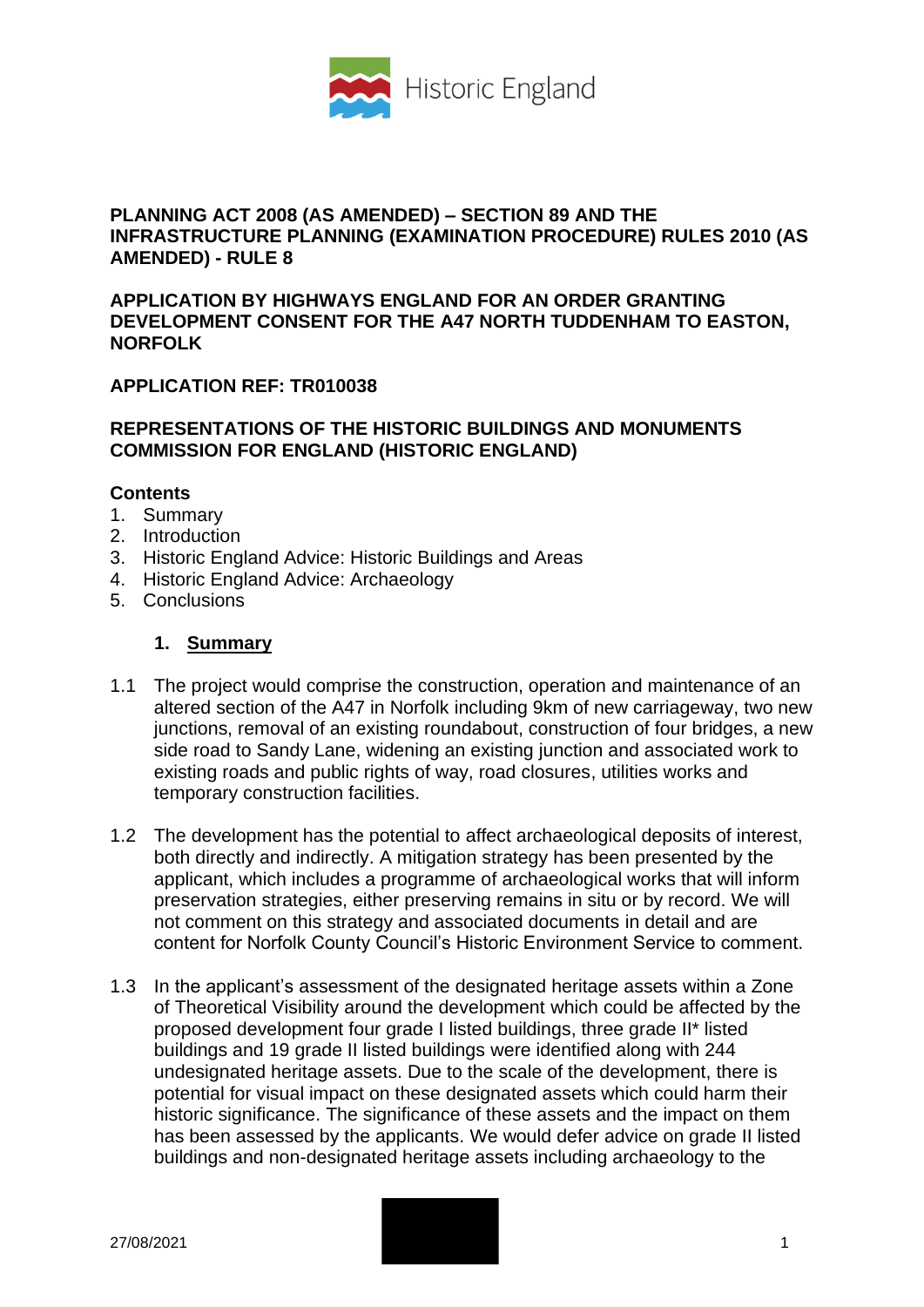

### **PLANNING ACT 2008 (AS AMENDED) – SECTION 89 AND THE INFRASTRUCTURE PLANNING (EXAMINATION PROCEDURE) RULES 2010 (AS AMENDED) - RULE 8**

#### **APPLICATION BY HIGHWAYS ENGLAND FOR AN ORDER GRANTING DEVELOPMENT CONSENT FOR THE A47 NORTH TUDDENHAM TO EASTON, NORFOLK**

# **APPLICATION REF: TR010038**

## **REPRESENTATIONS OF THE HISTORIC BUILDINGS AND MONUMENTS COMMISSION FOR ENGLAND (HISTORIC ENGLAND)**

### **Contents**

- 1. Summary
- 2. Introduction
- 3. Historic England Advice: Historic Buildings and Areas
- 4. Historic England Advice: Archaeology
- 5. Conclusions

### **1. Summary**

- 1.1 The project would comprise the construction, operation and maintenance of an altered section of the A47 in Norfolk including 9km of new carriageway, two new junctions, removal of an existing roundabout, construction of four bridges, a new side road to Sandy Lane, widening an existing junction and associated work to existing roads and public rights of way, road closures, utilities works and temporary construction facilities.
- 1.2 The development has the potential to affect archaeological deposits of interest, both directly and indirectly. A mitigation strategy has been presented by the applicant, which includes a programme of archaeological works that will inform preservation strategies, either preserving remains in situ or by record. We will not comment on this strategy and associated documents in detail and are content for Norfolk County Council's Historic Environment Service to comment.
- 1.3 In the applicant's assessment of the designated heritage assets within a Zone of Theoretical Visibility around the development which could be affected by the proposed development four grade I listed buildings, three grade II\* listed buildings and 19 grade II listed buildings were identified along with 244 undesignated heritage assets. Due to the scale of the development, there is potential for visual impact on these designated assets which could harm their historic significance. The significance of these assets and the impact on them has been assessed by the applicants. We would defer advice on grade II listed buildings and non-designated heritage assets including archaeology to the

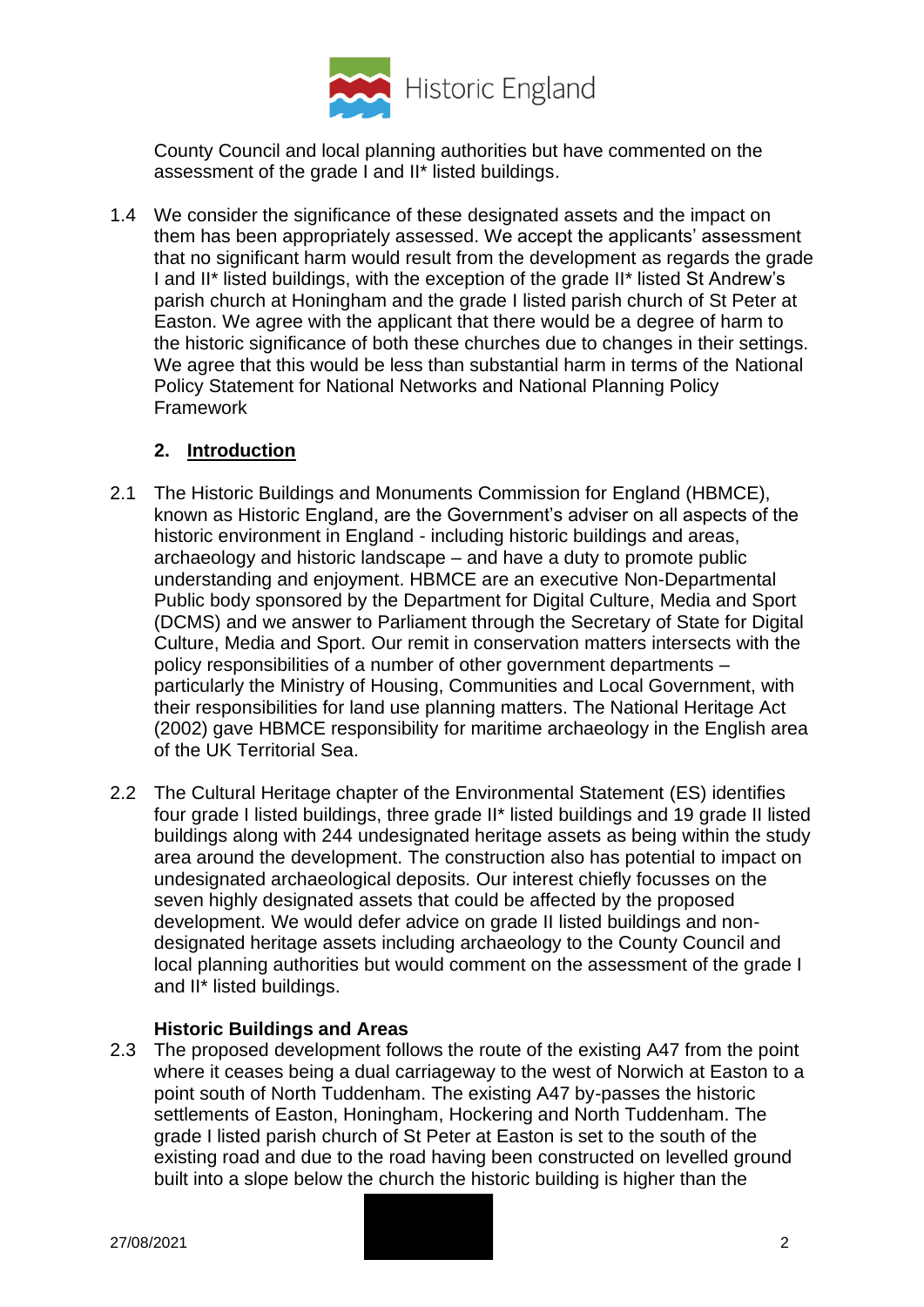

County Council and local planning authorities but have commented on the assessment of the grade I and II\* listed buildings.

1.4 We consider the significance of these designated assets and the impact on them has been appropriately assessed. We accept the applicants' assessment that no significant harm would result from the development as regards the grade I and II\* listed buildings, with the exception of the grade II\* listed St Andrew's parish church at Honingham and the grade I listed parish church of St Peter at Easton. We agree with the applicant that there would be a degree of harm to the historic significance of both these churches due to changes in their settings. We agree that this would be less than substantial harm in terms of the National Policy Statement for National Networks and National Planning Policy Framework

### **2. Introduction**

- 2.1 The Historic Buildings and Monuments Commission for England (HBMCE), known as Historic England, are the Government's adviser on all aspects of the historic environment in England - including historic buildings and areas, archaeology and historic landscape – and have a duty to promote public understanding and enjoyment. HBMCE are an executive Non-Departmental Public body sponsored by the Department for Digital Culture, Media and Sport (DCMS) and we answer to Parliament through the Secretary of State for Digital Culture, Media and Sport. Our remit in conservation matters intersects with the policy responsibilities of a number of other government departments – particularly the Ministry of Housing, Communities and Local Government, with their responsibilities for land use planning matters. The National Heritage Act (2002) gave HBMCE responsibility for maritime archaeology in the English area of the UK Territorial Sea.
- 2.2 The Cultural Heritage chapter of the Environmental Statement (ES) identifies four grade I listed buildings, three grade II\* listed buildings and 19 grade II listed buildings along with 244 undesignated heritage assets as being within the study area around the development. The construction also has potential to impact on undesignated archaeological deposits. Our interest chiefly focusses on the seven highly designated assets that could be affected by the proposed development. We would defer advice on grade II listed buildings and nondesignated heritage assets including archaeology to the County Council and local planning authorities but would comment on the assessment of the grade I and II\* listed buildings.

### **Historic Buildings and Areas**

2.3 The proposed development follows the route of the existing A47 from the point where it ceases being a dual carriageway to the west of Norwich at Easton to a point south of North Tuddenham. The existing A47 by-passes the historic settlements of Easton, Honingham, Hockering and North Tuddenham. The grade I listed parish church of St Peter at Easton is set to the south of the existing road and due to the road having been constructed on levelled ground built into a slope below the church the historic building is higher than the

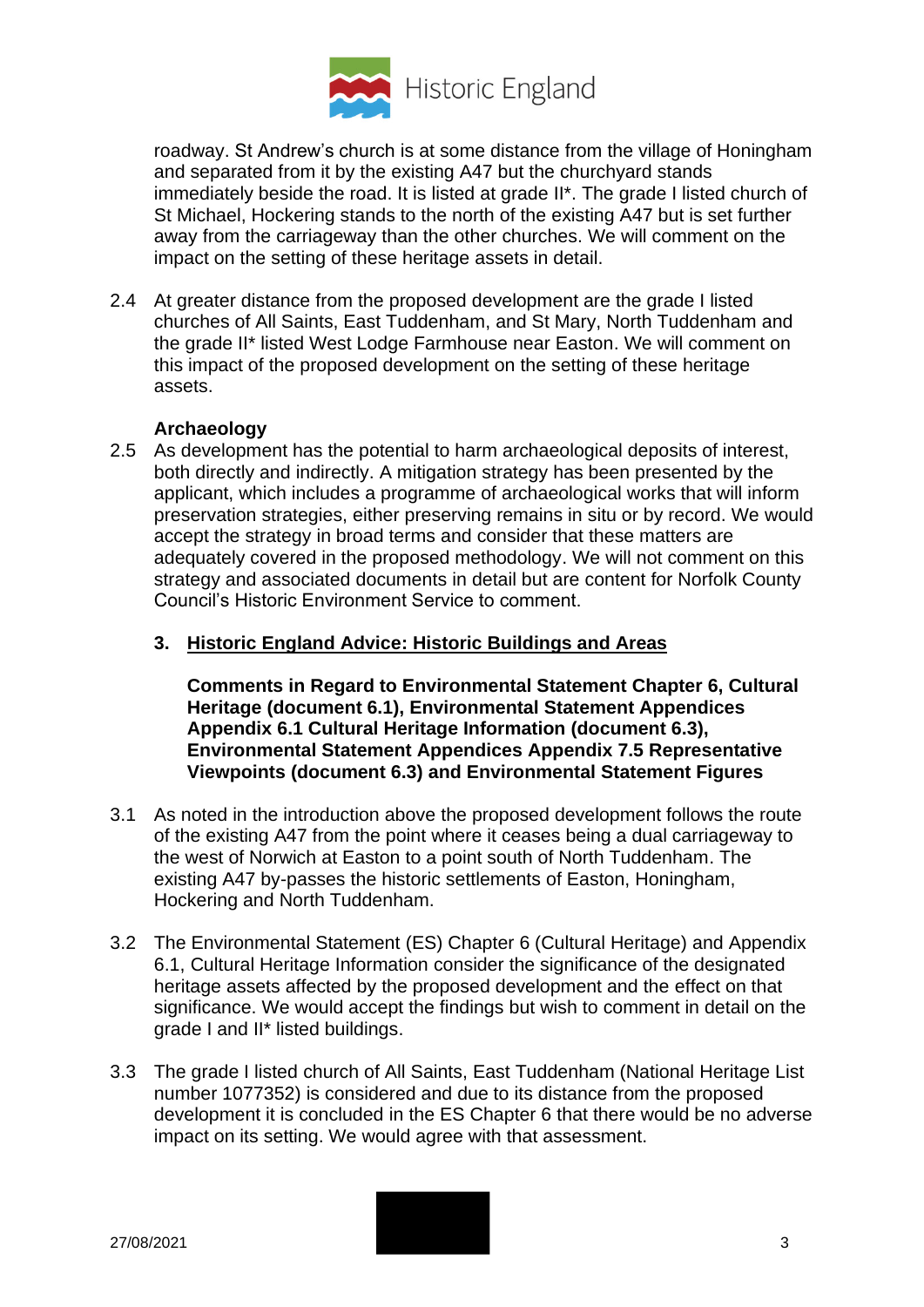

roadway. St Andrew's church is at some distance from the village of Honingham and separated from it by the existing A47 but the churchyard stands immediately beside the road. It is listed at grade II\*. The grade I listed church of St Michael, Hockering stands to the north of the existing A47 but is set further away from the carriageway than the other churches. We will comment on the impact on the setting of these heritage assets in detail.

2.4 At greater distance from the proposed development are the grade I listed churches of All Saints, East Tuddenham, and St Mary, North Tuddenham and the grade II\* listed West Lodge Farmhouse near Easton. We will comment on this impact of the proposed development on the setting of these heritage assets.

# **Archaeology**

- 2.5 As development has the potential to harm archaeological deposits of interest, both directly and indirectly. A mitigation strategy has been presented by the applicant, which includes a programme of archaeological works that will inform preservation strategies, either preserving remains in situ or by record. We would accept the strategy in broad terms and consider that these matters are adequately covered in the proposed methodology. We will not comment on this strategy and associated documents in detail but are content for Norfolk County Council's Historic Environment Service to comment.
	- **3. Historic England Advice: Historic Buildings and Areas**

**Comments in Regard to Environmental Statement Chapter 6, Cultural Heritage (document 6.1), Environmental Statement Appendices Appendix 6.1 Cultural Heritage Information (document 6.3), Environmental Statement Appendices Appendix 7.5 Representative Viewpoints (document 6.3) and Environmental Statement Figures** 

- 3.1 As noted in the introduction above the proposed development follows the route of the existing A47 from the point where it ceases being a dual carriageway to the west of Norwich at Easton to a point south of North Tuddenham. The existing A47 by-passes the historic settlements of Easton, Honingham, Hockering and North Tuddenham.
- 3.2 The Environmental Statement (ES) Chapter 6 (Cultural Heritage) and Appendix 6.1, Cultural Heritage Information consider the significance of the designated heritage assets affected by the proposed development and the effect on that significance. We would accept the findings but wish to comment in detail on the grade I and II\* listed buildings.
- 3.3 The grade I listed church of All Saints, East Tuddenham (National Heritage List number 1077352) is considered and due to its distance from the proposed development it is concluded in the ES Chapter 6 that there would be no adverse impact on its setting. We would agree with that assessment.

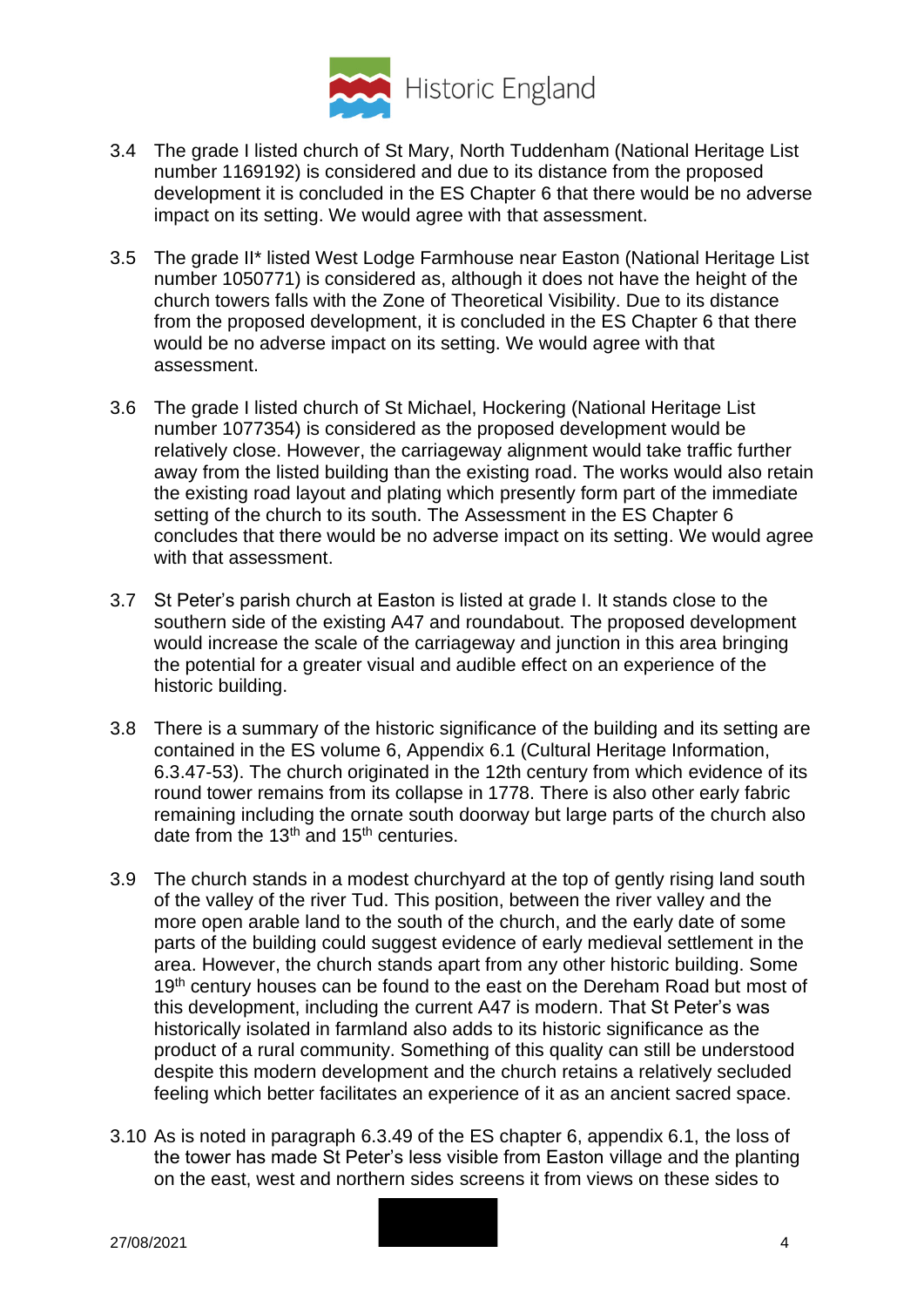

- 3.4 The grade I listed church of St Mary, North Tuddenham (National Heritage List number 1169192) is considered and due to its distance from the proposed development it is concluded in the ES Chapter 6 that there would be no adverse impact on its setting. We would agree with that assessment.
- 3.5 The grade II\* listed West Lodge Farmhouse near Easton (National Heritage List number 1050771) is considered as, although it does not have the height of the church towers falls with the Zone of Theoretical Visibility. Due to its distance from the proposed development, it is concluded in the ES Chapter 6 that there would be no adverse impact on its setting. We would agree with that assessment.
- 3.6 The grade I listed church of St Michael, Hockering (National Heritage List number 1077354) is considered as the proposed development would be relatively close. However, the carriageway alignment would take traffic further away from the listed building than the existing road. The works would also retain the existing road layout and plating which presently form part of the immediate setting of the church to its south. The Assessment in the ES Chapter 6 concludes that there would be no adverse impact on its setting. We would agree with that assessment.
- 3.7 St Peter's parish church at Easton is listed at grade I. It stands close to the southern side of the existing A47 and roundabout. The proposed development would increase the scale of the carriageway and junction in this area bringing the potential for a greater visual and audible effect on an experience of the historic building.
- 3.8 There is a summary of the historic significance of the building and its setting are contained in the ES volume 6, Appendix 6.1 (Cultural Heritage Information, 6.3.47-53). The church originated in the 12th century from which evidence of its round tower remains from its collapse in 1778. There is also other early fabric remaining including the ornate south doorway but large parts of the church also date from the 13<sup>th</sup> and 15<sup>th</sup> centuries.
- 3.9 The church stands in a modest churchyard at the top of gently rising land south of the valley of the river Tud. This position, between the river valley and the more open arable land to the south of the church, and the early date of some parts of the building could suggest evidence of early medieval settlement in the area. However, the church stands apart from any other historic building. Some 19<sup>th</sup> century houses can be found to the east on the Dereham Road but most of this development, including the current A47 is modern. That St Peter's was historically isolated in farmland also adds to its historic significance as the product of a rural community. Something of this quality can still be understood despite this modern development and the church retains a relatively secluded feeling which better facilitates an experience of it as an ancient sacred space.
- 3.10 As is noted in paragraph 6.3.49 of the ES chapter 6, appendix 6.1, the loss of the tower has made St Peter's less visible from Easton village and the planting on the east, west and northern sides screens it from views on these sides to

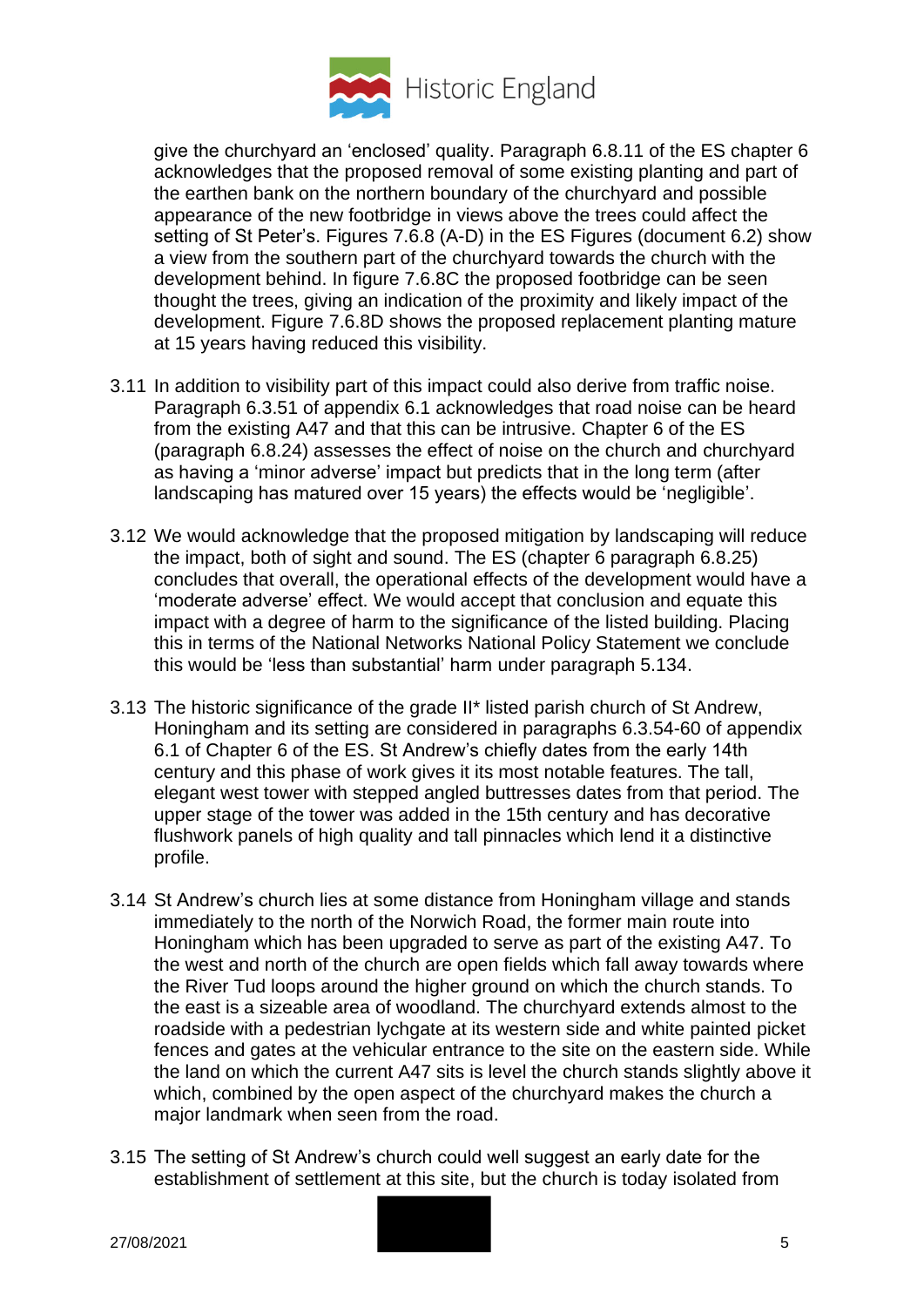

give the churchyard an 'enclosed' quality. Paragraph 6.8.11 of the ES chapter 6 acknowledges that the proposed removal of some existing planting and part of the earthen bank on the northern boundary of the churchyard and possible appearance of the new footbridge in views above the trees could affect the setting of St Peter's. Figures 7.6.8 (A-D) in the ES Figures (document 6.2) show a view from the southern part of the churchyard towards the church with the development behind. In figure 7.6.8C the proposed footbridge can be seen thought the trees, giving an indication of the proximity and likely impact of the development. Figure 7.6.8D shows the proposed replacement planting mature at 15 years having reduced this visibility.

- 3.11 In addition to visibility part of this impact could also derive from traffic noise. Paragraph 6.3.51 of appendix 6.1 acknowledges that road noise can be heard from the existing A47 and that this can be intrusive. Chapter 6 of the ES (paragraph 6.8.24) assesses the effect of noise on the church and churchyard as having a 'minor adverse' impact but predicts that in the long term (after landscaping has matured over 15 years) the effects would be 'negligible'.
- 3.12 We would acknowledge that the proposed mitigation by landscaping will reduce the impact, both of sight and sound. The ES (chapter 6 paragraph 6.8.25) concludes that overall, the operational effects of the development would have a 'moderate adverse' effect. We would accept that conclusion and equate this impact with a degree of harm to the significance of the listed building. Placing this in terms of the National Networks National Policy Statement we conclude this would be 'less than substantial' harm under paragraph 5.134.
- 3.13 The historic significance of the grade II\* listed parish church of St Andrew, Honingham and its setting are considered in paragraphs 6.3.54-60 of appendix 6.1 of Chapter 6 of the ES. St Andrew's chiefly dates from the early 14th century and this phase of work gives it its most notable features. The tall, elegant west tower with stepped angled buttresses dates from that period. The upper stage of the tower was added in the 15th century and has decorative flushwork panels of high quality and tall pinnacles which lend it a distinctive profile.
- 3.14 St Andrew's church lies at some distance from Honingham village and stands immediately to the north of the Norwich Road, the former main route into Honingham which has been upgraded to serve as part of the existing A47. To the west and north of the church are open fields which fall away towards where the River Tud loops around the higher ground on which the church stands. To the east is a sizeable area of woodland. The churchyard extends almost to the roadside with a pedestrian lychgate at its western side and white painted picket fences and gates at the vehicular entrance to the site on the eastern side. While the land on which the current A47 sits is level the church stands slightly above it which, combined by the open aspect of the churchyard makes the church a major landmark when seen from the road.
- 3.15 The setting of St Andrew's church could well suggest an early date for the establishment of settlement at this site, but the church is today isolated from

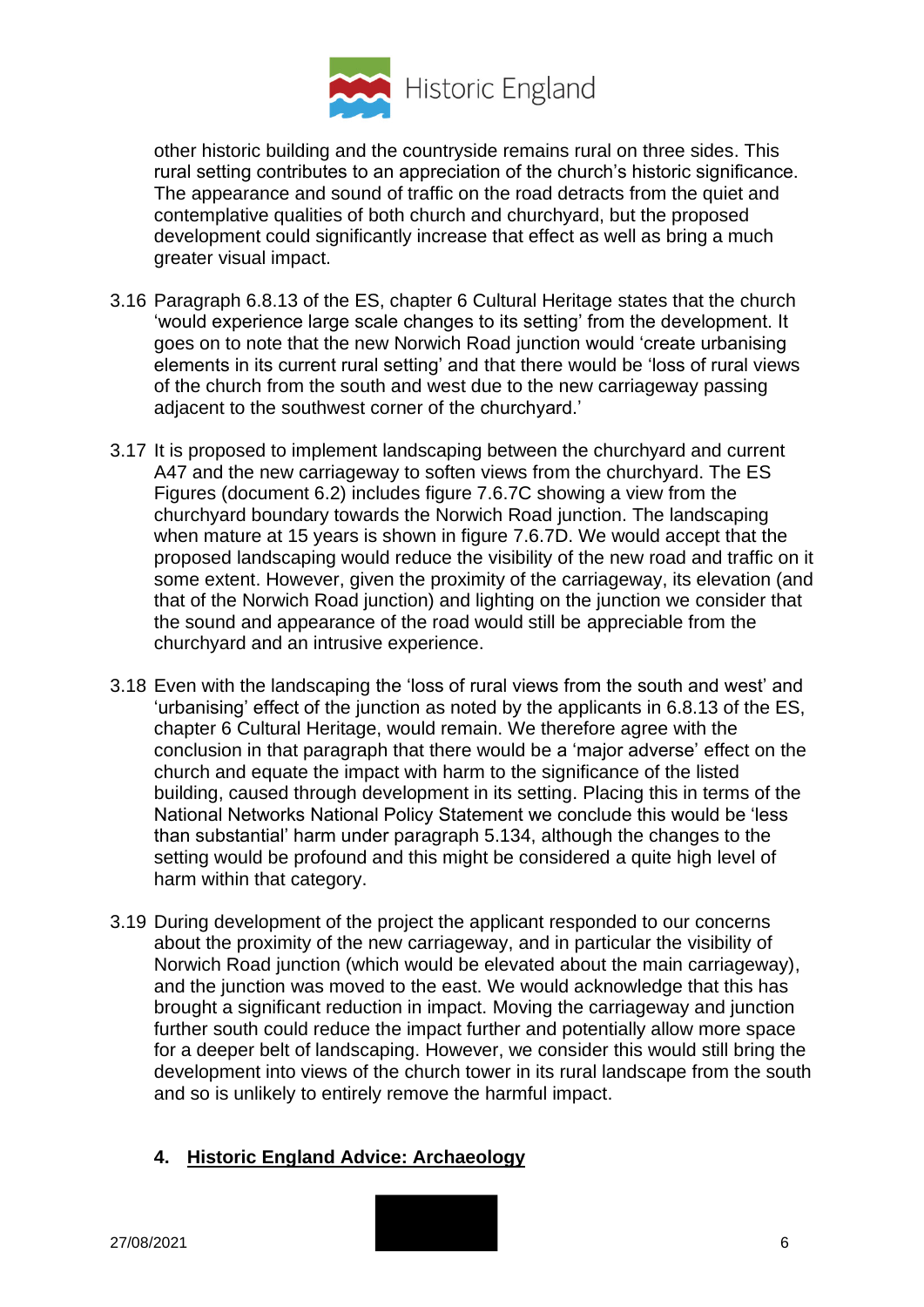

other historic building and the countryside remains rural on three sides. This rural setting contributes to an appreciation of the church's historic significance. The appearance and sound of traffic on the road detracts from the quiet and contemplative qualities of both church and churchyard, but the proposed development could significantly increase that effect as well as bring a much greater visual impact.

- 3.16 Paragraph 6.8.13 of the ES, chapter 6 Cultural Heritage states that the church 'would experience large scale changes to its setting' from the development. It goes on to note that the new Norwich Road junction would 'create urbanising elements in its current rural setting' and that there would be 'loss of rural views of the church from the south and west due to the new carriageway passing adjacent to the southwest corner of the churchyard.'
- 3.17 It is proposed to implement landscaping between the churchyard and current A47 and the new carriageway to soften views from the churchyard. The ES Figures (document 6.2) includes figure 7.6.7C showing a view from the churchyard boundary towards the Norwich Road junction. The landscaping when mature at 15 years is shown in figure 7.6.7D. We would accept that the proposed landscaping would reduce the visibility of the new road and traffic on it some extent. However, given the proximity of the carriageway, its elevation (and that of the Norwich Road junction) and lighting on the junction we consider that the sound and appearance of the road would still be appreciable from the churchyard and an intrusive experience.
- 3.18 Even with the landscaping the 'loss of rural views from the south and west' and 'urbanising' effect of the junction as noted by the applicants in 6.8.13 of the ES, chapter 6 Cultural Heritage, would remain. We therefore agree with the conclusion in that paragraph that there would be a 'major adverse' effect on the church and equate the impact with harm to the significance of the listed building, caused through development in its setting. Placing this in terms of the National Networks National Policy Statement we conclude this would be 'less than substantial' harm under paragraph 5.134, although the changes to the setting would be profound and this might be considered a quite high level of harm within that category.
- 3.19 During development of the project the applicant responded to our concerns about the proximity of the new carriageway, and in particular the visibility of Norwich Road junction (which would be elevated about the main carriageway), and the junction was moved to the east. We would acknowledge that this has brought a significant reduction in impact. Moving the carriageway and junction further south could reduce the impact further and potentially allow more space for a deeper belt of landscaping. However, we consider this would still bring the development into views of the church tower in its rural landscape from the south and so is unlikely to entirely remove the harmful impact.

### **4. Historic England Advice: Archaeology**

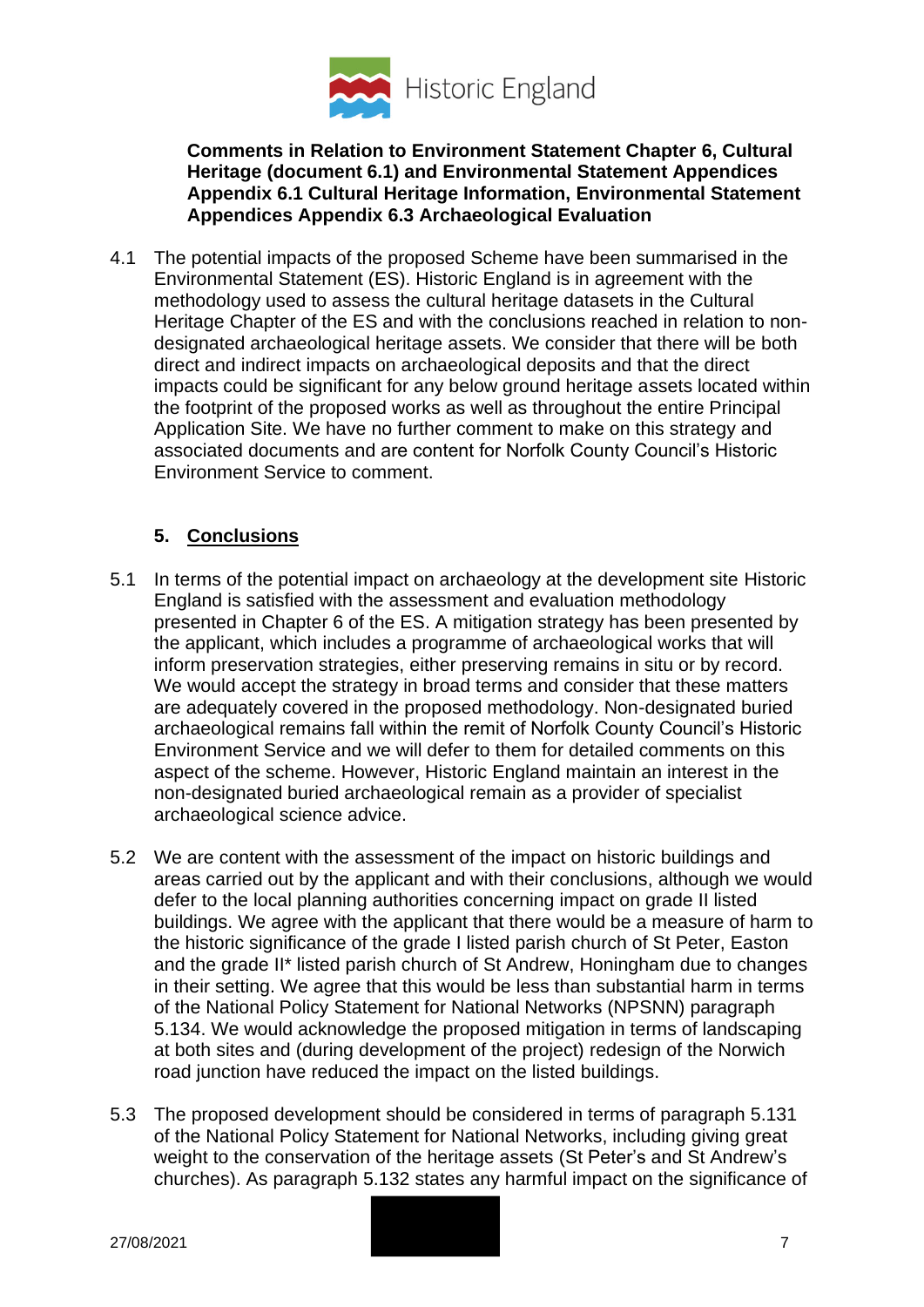

### **Comments in Relation to Environment Statement Chapter 6, Cultural Heritage (document 6.1) and Environmental Statement Appendices Appendix 6.1 Cultural Heritage Information, Environmental Statement Appendices Appendix 6.3 Archaeological Evaluation**

4.1 The potential impacts of the proposed Scheme have been summarised in the Environmental Statement (ES). Historic England is in agreement with the methodology used to assess the cultural heritage datasets in the Cultural Heritage Chapter of the ES and with the conclusions reached in relation to nondesignated archaeological heritage assets. We consider that there will be both direct and indirect impacts on archaeological deposits and that the direct impacts could be significant for any below ground heritage assets located within the footprint of the proposed works as well as throughout the entire Principal Application Site. We have no further comment to make on this strategy and associated documents and are content for Norfolk County Council's Historic Environment Service to comment.

# **5. Conclusions**

- 5.1 In terms of the potential impact on archaeology at the development site Historic England is satisfied with the assessment and evaluation methodology presented in Chapter 6 of the ES. A mitigation strategy has been presented by the applicant, which includes a programme of archaeological works that will inform preservation strategies, either preserving remains in situ or by record. We would accept the strategy in broad terms and consider that these matters are adequately covered in the proposed methodology. Non-designated buried archaeological remains fall within the remit of Norfolk County Council's Historic Environment Service and we will defer to them for detailed comments on this aspect of the scheme. However, Historic England maintain an interest in the non-designated buried archaeological remain as a provider of specialist archaeological science advice.
- 5.2 We are content with the assessment of the impact on historic buildings and areas carried out by the applicant and with their conclusions, although we would defer to the local planning authorities concerning impact on grade II listed buildings. We agree with the applicant that there would be a measure of harm to the historic significance of the grade I listed parish church of St Peter, Easton and the grade II\* listed parish church of St Andrew, Honingham due to changes in their setting. We agree that this would be less than substantial harm in terms of the National Policy Statement for National Networks (NPSNN) paragraph 5.134. We would acknowledge the proposed mitigation in terms of landscaping at both sites and (during development of the project) redesign of the Norwich road junction have reduced the impact on the listed buildings.
- 5.3 The proposed development should be considered in terms of paragraph 5.131 of the National Policy Statement for National Networks, including giving great weight to the conservation of the heritage assets (St Peter's and St Andrew's churches). As paragraph 5.132 states any harmful impact on the significance of